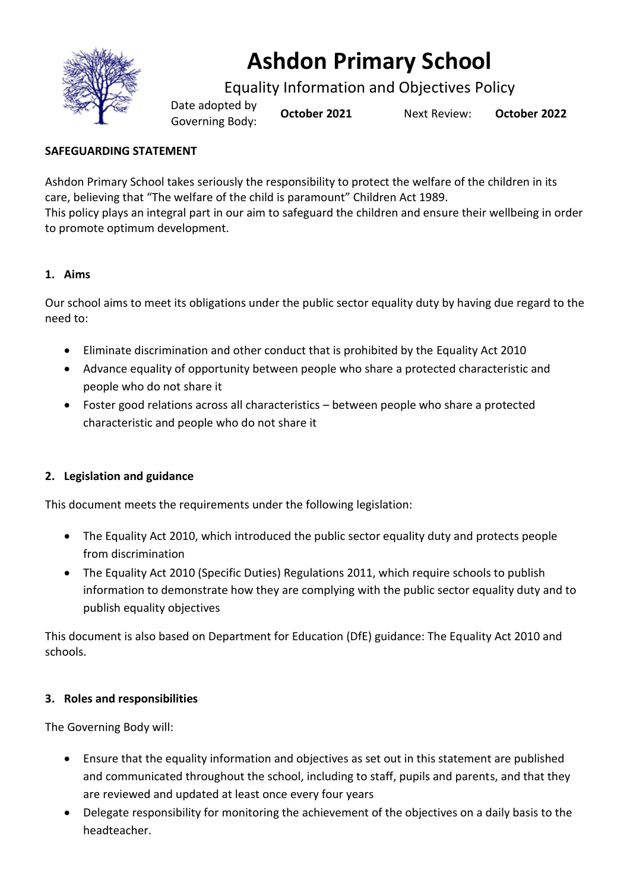

# **Ashdon Primary School**

Equality Information and Objectives Policy

Date adopted by Governing Body: **October <sup>2021</sup>** Next Review: **October <sup>2022</sup>**

# **SAFEGUARDING STATEMENT**

Ashdon Primary School takes seriously the responsibility to protect the welfare of the children in its care, believing that "The welfare of the child is paramount" Children Act 1989. This policy plays an integral part in our aim to safeguard the children and ensure their wellbeing in order to promote optimum development.

## **1. Aims**

Our school aims to meet its obligations under the public sector equality duty by having due regard to the need to:

- Eliminate discrimination and other conduct that is prohibited by the Equality Act 2010
- Advance equality of opportunity between people who share a protected characteristic and people who do not share it
- Foster good relations across all characteristics between people who share a protected characteristic and people who do not share it

## **2. Legislation and guidance**

This document meets the requirements under the following legislation:

- The Equality Act 2010, which introduced the public sector equality duty and protects people from discrimination
- The Equality Act 2010 (Specific Duties) Regulations 2011, which require schools to publish information to demonstrate how they are complying with the public sector equality duty and to publish equality objectives

This document is also based on Department for Education (DfE) guidance: The Equality Act 2010 and schools.

## **3. Roles and responsibilities**

The Governing Body will:

- Ensure that the equality information and objectives as set out in this statement are published and communicated throughout the school, including to staff, pupils and parents, and that they are reviewed and updated at least once every four years
- Delegate responsibility for monitoring the achievement of the objectives on a daily basis to the headteacher.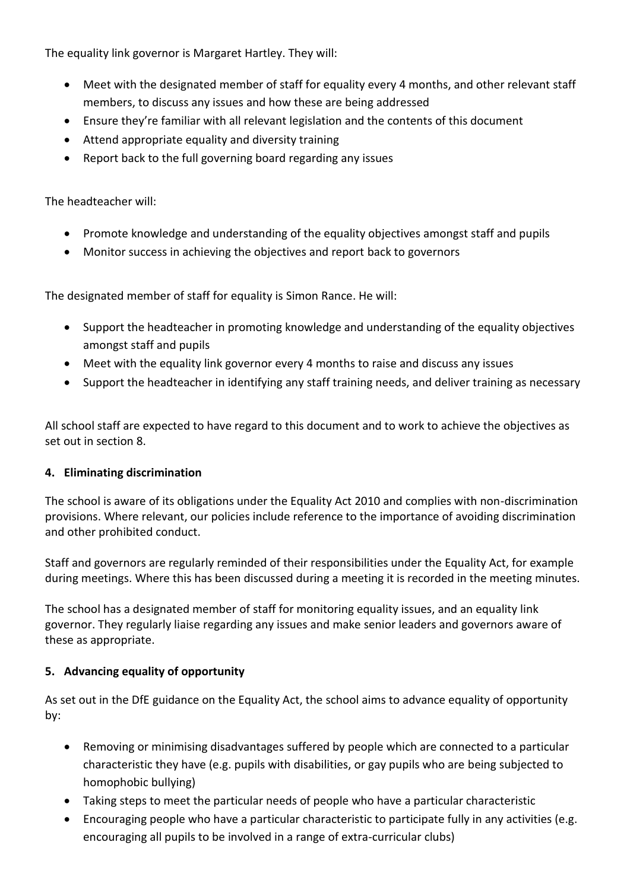The equality link governor is Margaret Hartley. They will:

- Meet with the designated member of staff for equality every 4 months, and other relevant staff members, to discuss any issues and how these are being addressed
- Ensure they're familiar with all relevant legislation and the contents of this document
- Attend appropriate equality and diversity training
- Report back to the full governing board regarding any issues

The headteacher will:

- Promote knowledge and understanding of the equality objectives amongst staff and pupils
- Monitor success in achieving the objectives and report back to governors

The designated member of staff for equality is Simon Rance. He will:

- Support the headteacher in promoting knowledge and understanding of the equality objectives amongst staff and pupils
- Meet with the equality link governor every 4 months to raise and discuss any issues
- Support the headteacher in identifying any staff training needs, and deliver training as necessary

All school staff are expected to have regard to this document and to work to achieve the objectives as set out in section 8.

#### **4. Eliminating discrimination**

The school is aware of its obligations under the Equality Act 2010 and complies with non-discrimination provisions. Where relevant, our policies include reference to the importance of avoiding discrimination and other prohibited conduct.

Staff and governors are regularly reminded of their responsibilities under the Equality Act, for example during meetings. Where this has been discussed during a meeting it is recorded in the meeting minutes.

The school has a designated member of staff for monitoring equality issues, and an equality link governor. They regularly liaise regarding any issues and make senior leaders and governors aware of these as appropriate.

#### **5. Advancing equality of opportunity**

As set out in the DfE guidance on the Equality Act, the school aims to advance equality of opportunity by:

- Removing or minimising disadvantages suffered by people which are connected to a particular characteristic they have (e.g. pupils with disabilities, or gay pupils who are being subjected to homophobic bullying)
- Taking steps to meet the particular needs of people who have a particular characteristic
- Encouraging people who have a particular characteristic to participate fully in any activities (e.g. encouraging all pupils to be involved in a range of extra-curricular clubs)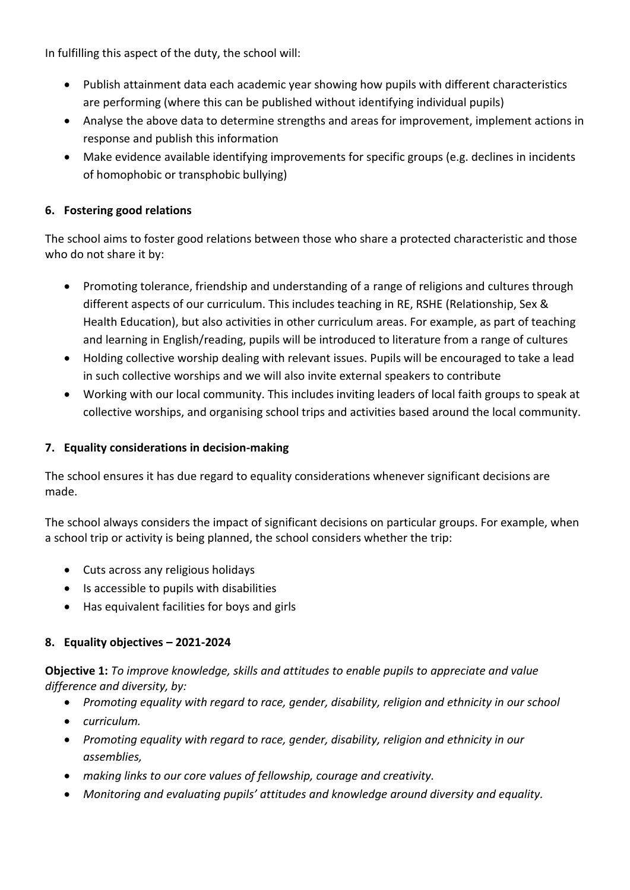In fulfilling this aspect of the duty, the school will:

- Publish attainment data each academic year showing how pupils with different characteristics are performing (where this can be published without identifying individual pupils)
- Analyse the above data to determine strengths and areas for improvement, implement actions in response and publish this information
- Make evidence available identifying improvements for specific groups (e.g. declines in incidents of homophobic or transphobic bullying)

## **6. Fostering good relations**

The school aims to foster good relations between those who share a protected characteristic and those who do not share it by:

- Promoting tolerance, friendship and understanding of a range of religions and cultures through different aspects of our curriculum. This includes teaching in RE, RSHE (Relationship, Sex & Health Education), but also activities in other curriculum areas. For example, as part of teaching and learning in English/reading, pupils will be introduced to literature from a range of cultures
- Holding collective worship dealing with relevant issues. Pupils will be encouraged to take a lead in such collective worships and we will also invite external speakers to contribute
- Working with our local community. This includes inviting leaders of local faith groups to speak at collective worships, and organising school trips and activities based around the local community.

## **7. Equality considerations in decision-making**

The school ensures it has due regard to equality considerations whenever significant decisions are made.

The school always considers the impact of significant decisions on particular groups. For example, when a school trip or activity is being planned, the school considers whether the trip:

- Cuts across any religious holidays
- Is accessible to pupils with disabilities
- Has equivalent facilities for boys and girls

#### **8. Equality objectives – 2021-2024**

**Objective 1:** *To improve knowledge, skills and attitudes to enable pupils to appreciate and value difference and diversity, by:*

- *Promoting equality with regard to race, gender, disability, religion and ethnicity in our school*
- *curriculum.*
- *Promoting equality with regard to race, gender, disability, religion and ethnicity in our assemblies,*
- *making links to our core values of fellowship, courage and creativity.*
- *Monitoring and evaluating pupils' attitudes and knowledge around diversity and equality.*